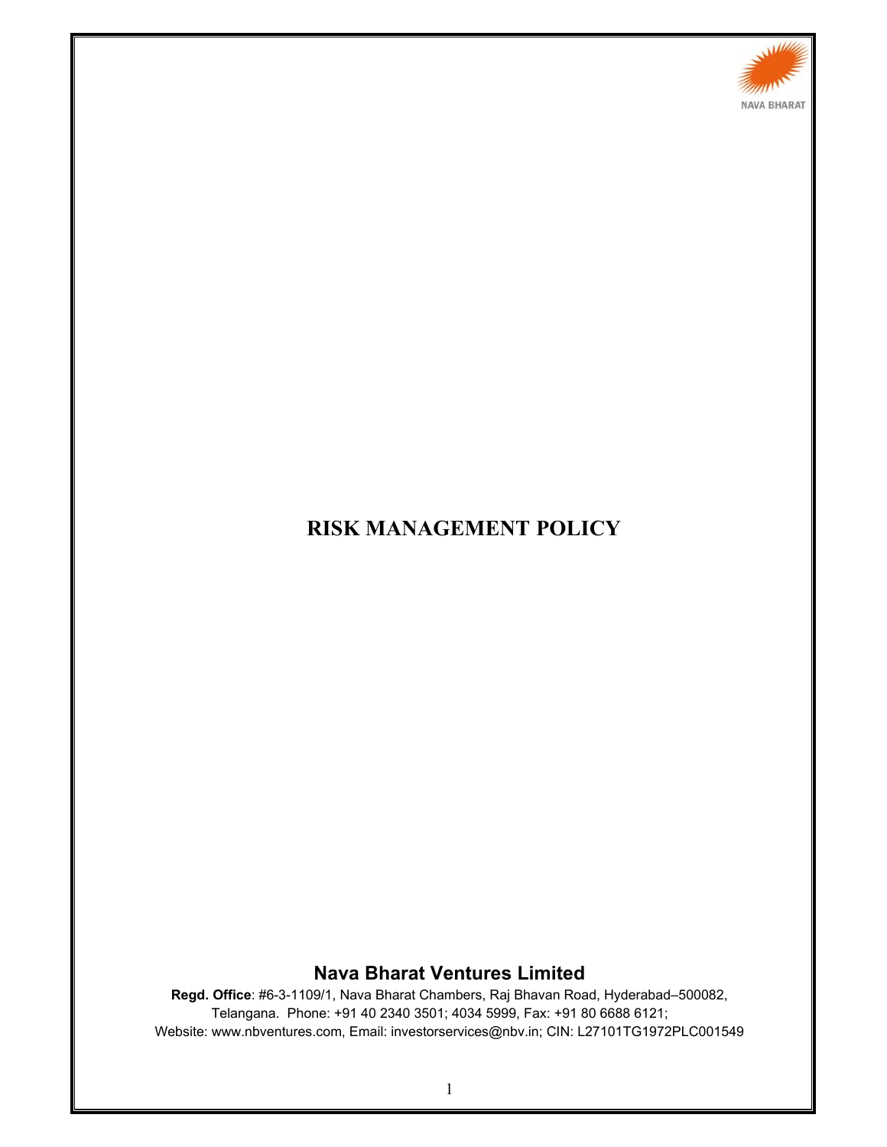

# **RISK MANAGEMENT POLICY**

## **Nava Bharat Ventures Limited**

**Regd. Office**: #6-3-1109/1, Nava Bharat Chambers, Raj Bhavan Road, Hyderabad–500082, Telangana. Phone: +91 40 2340 3501; 4034 5999, Fax: +91 80 6688 6121; Website: www.nbventures.com, Email: investorservices@nbv.in; CIN: L27101TG1972PLC001549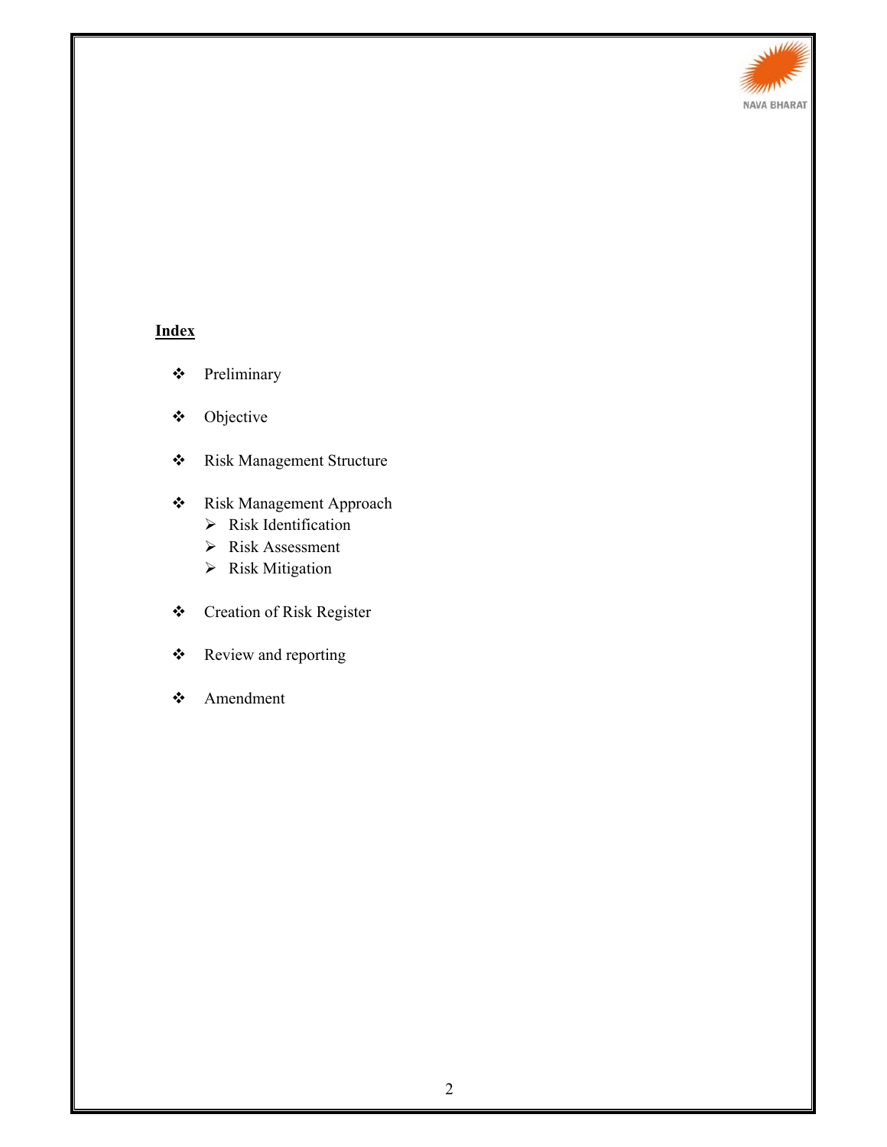

# **Index**

- Preliminary
- Objective
- Risk Management Structure

## Risk Management Approach

- $\triangleright$  Risk Identification
- Risk Assessment
- $\triangleright$  Risk Mitigation
- Creation of Risk Register
- Review and reporting
- Amendment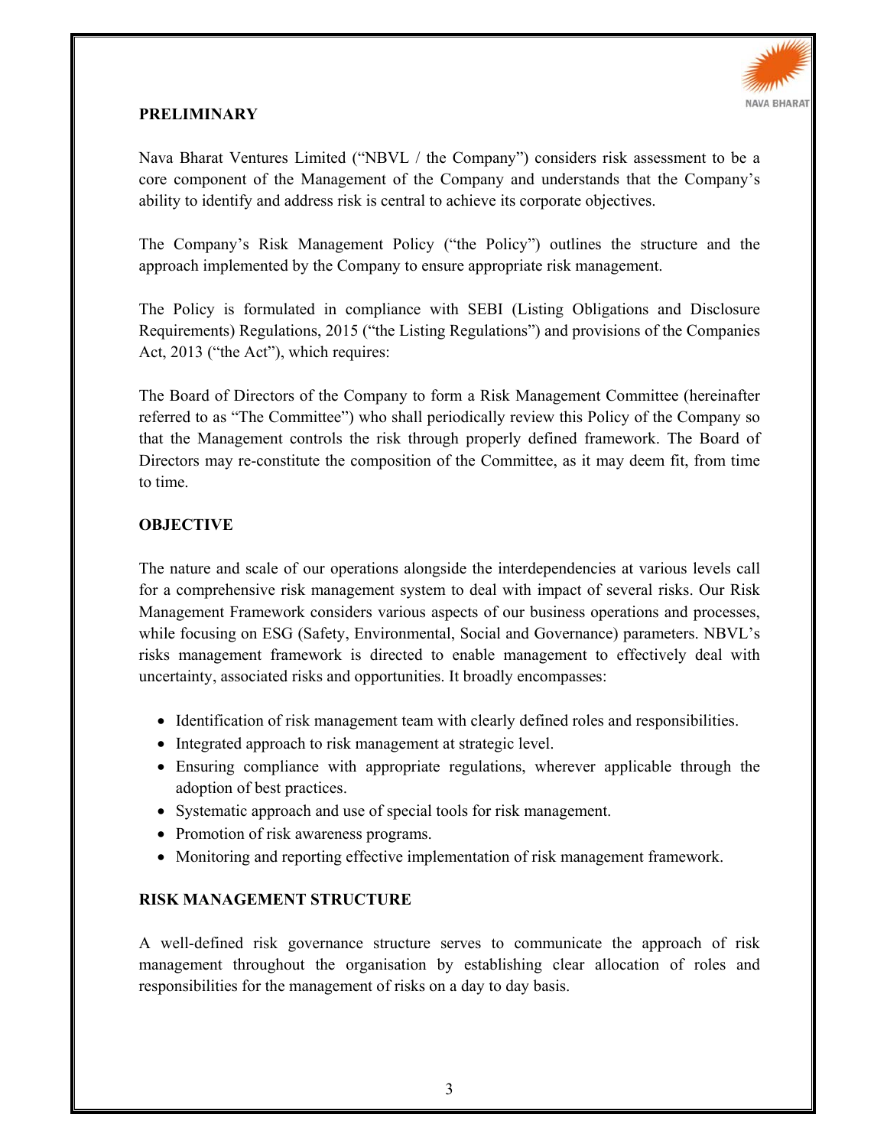

#### **PRELIMINARY**

Nava Bharat Ventures Limited ("NBVL / the Company") considers risk assessment to be a core component of the Management of the Company and understands that the Company's ability to identify and address risk is central to achieve its corporate objectives.

The Company's Risk Management Policy ("the Policy") outlines the structure and the approach implemented by the Company to ensure appropriate risk management.

The Policy is formulated in compliance with SEBI (Listing Obligations and Disclosure Requirements) Regulations, 2015 ("the Listing Regulations") and provisions of the Companies Act, 2013 ("the Act"), which requires:

The Board of Directors of the Company to form a Risk Management Committee (hereinafter referred to as "The Committee") who shall periodically review this Policy of the Company so that the Management controls the risk through properly defined framework. The Board of Directors may re-constitute the composition of the Committee, as it may deem fit, from time to time.

## **OBJECTIVE**

The nature and scale of our operations alongside the interdependencies at various levels call for a comprehensive risk management system to deal with impact of several risks. Our Risk Management Framework considers various aspects of our business operations and processes, while focusing on ESG (Safety, Environmental, Social and Governance) parameters. NBVL's risks management framework is directed to enable management to effectively deal with uncertainty, associated risks and opportunities. It broadly encompasses:

- Identification of risk management team with clearly defined roles and responsibilities.
- Integrated approach to risk management at strategic level.
- Ensuring compliance with appropriate regulations, wherever applicable through the adoption of best practices.
- Systematic approach and use of special tools for risk management.
- Promotion of risk awareness programs.
- Monitoring and reporting effective implementation of risk management framework.

#### **RISK MANAGEMENT STRUCTURE**

A well-defined risk governance structure serves to communicate the approach of risk management throughout the organisation by establishing clear allocation of roles and responsibilities for the management of risks on a day to day basis.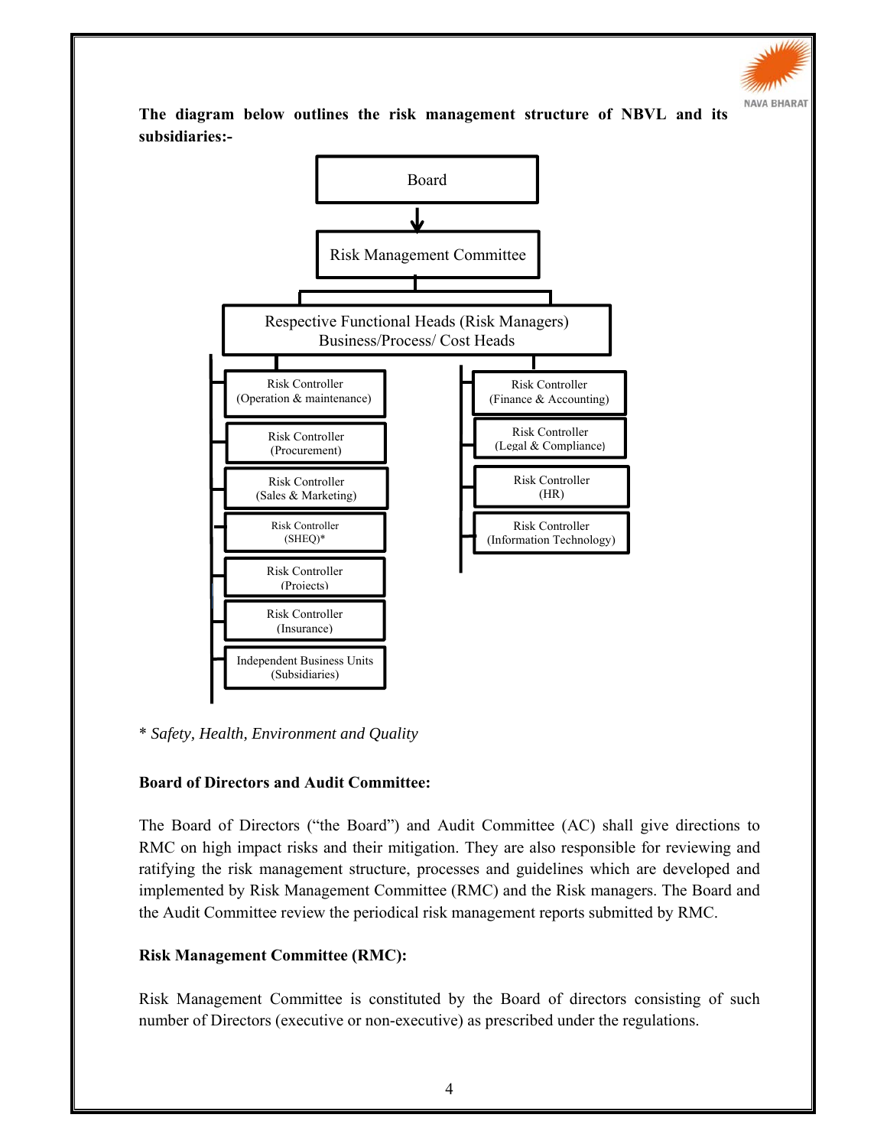

**The diagram below outlines the risk management structure of NBVL and its subsidiaries:-** 



\* *Safety, Health, Environment and Quality*

## **Board of Directors and Audit Committee:**

The Board of Directors ("the Board") and Audit Committee (AC) shall give directions to RMC on high impact risks and their mitigation. They are also responsible for reviewing and ratifying the risk management structure, processes and guidelines which are developed and implemented by Risk Management Committee (RMC) and the Risk managers. The Board and the Audit Committee review the periodical risk management reports submitted by RMC.

## **Risk Management Committee (RMC):**

Risk Management Committee is constituted by the Board of directors consisting of such number of Directors (executive or non-executive) as prescribed under the regulations.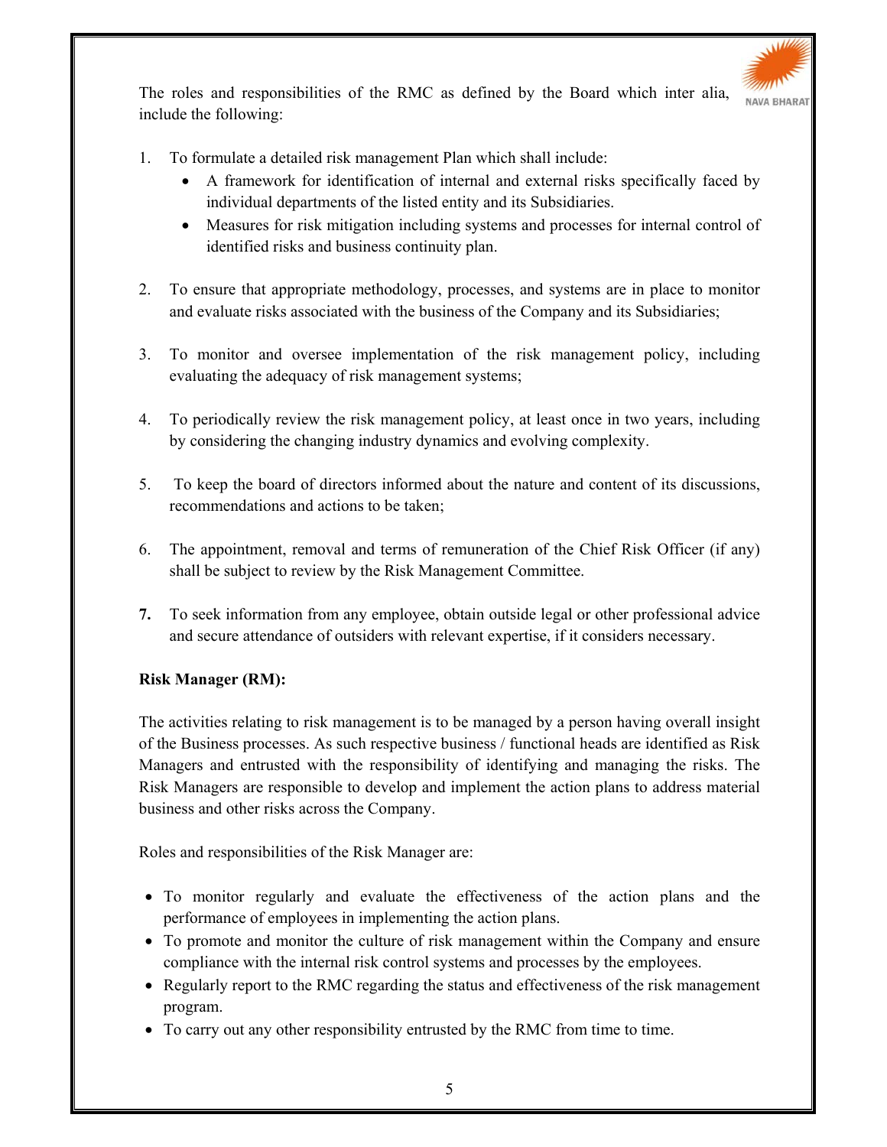

The roles and responsibilities of the RMC as defined by the Board which inter alia, include the following:

- 1. To formulate a detailed risk management Plan which shall include:
	- A framework for identification of internal and external risks specifically faced by individual departments of the listed entity and its Subsidiaries.
	- Measures for risk mitigation including systems and processes for internal control of identified risks and business continuity plan.
- 2. To ensure that appropriate methodology, processes, and systems are in place to monitor and evaluate risks associated with the business of the Company and its Subsidiaries;
- 3. To monitor and oversee implementation of the risk management policy, including evaluating the adequacy of risk management systems;
- 4. To periodically review the risk management policy, at least once in two years, including by considering the changing industry dynamics and evolving complexity.
- 5. To keep the board of directors informed about the nature and content of its discussions, recommendations and actions to be taken;
- 6. The appointment, removal and terms of remuneration of the Chief Risk Officer (if any) shall be subject to review by the Risk Management Committee.
- **7.** To seek information from any employee, obtain outside legal or other professional advice and secure attendance of outsiders with relevant expertise, if it considers necessary.

## **Risk Manager (RM):**

The activities relating to risk management is to be managed by a person having overall insight of the Business processes. As such respective business / functional heads are identified as Risk Managers and entrusted with the responsibility of identifying and managing the risks. The Risk Managers are responsible to develop and implement the action plans to address material business and other risks across the Company.

Roles and responsibilities of the Risk Manager are:

- To monitor regularly and evaluate the effectiveness of the action plans and the performance of employees in implementing the action plans.
- To promote and monitor the culture of risk management within the Company and ensure compliance with the internal risk control systems and processes by the employees.
- Regularly report to the RMC regarding the status and effectiveness of the risk management program.
- To carry out any other responsibility entrusted by the RMC from time to time.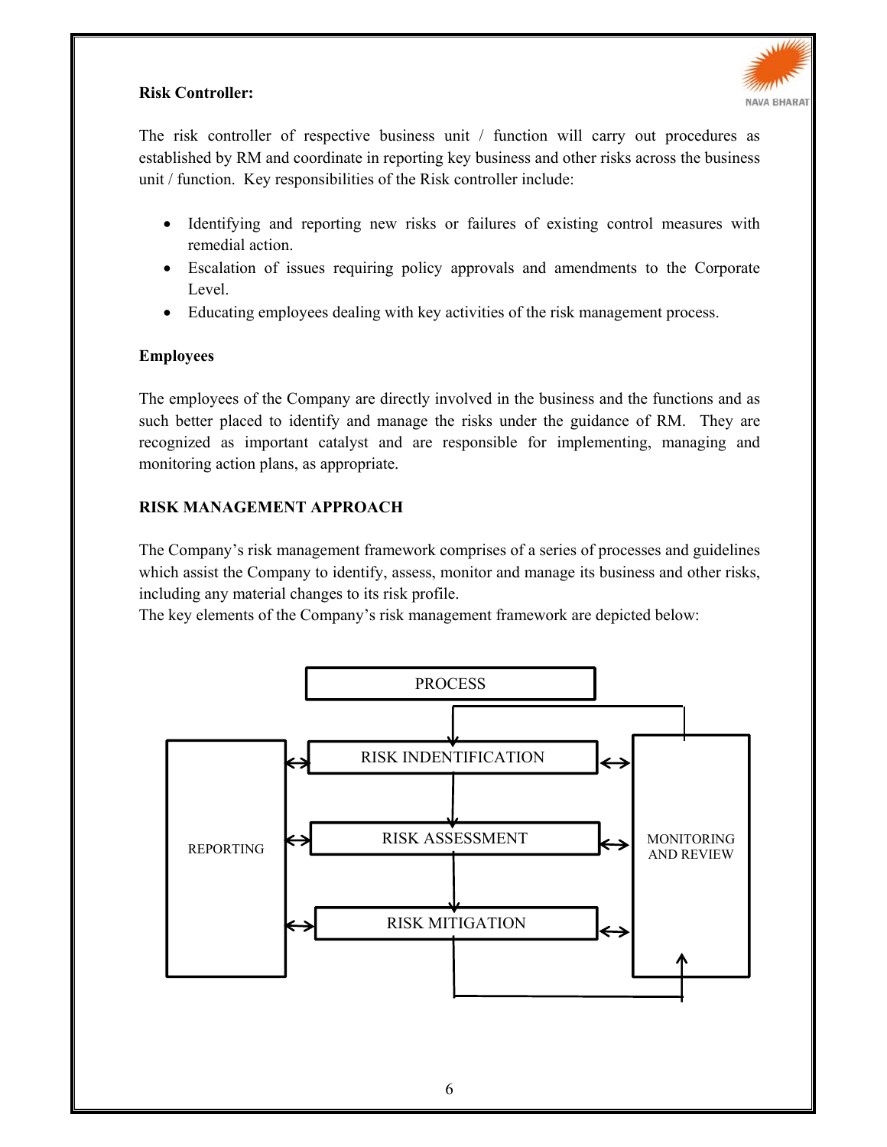## **Risk Controller:**



The risk controller of respective business unit / function will carry out procedures as established by RM and coordinate in reporting key business and other risks across the business unit / function. Key responsibilities of the Risk controller include:

- Identifying and reporting new risks or failures of existing control measures with remedial action.
- Escalation of issues requiring policy approvals and amendments to the Corporate Level.
- Educating employees dealing with key activities of the risk management process.

#### **Employees**

The employees of the Company are directly involved in the business and the functions and as such better placed to identify and manage the risks under the guidance of RM. They are recognized as important catalyst and are responsible for implementing, managing and monitoring action plans, as appropriate.

#### **RISK MANAGEMENT APPROACH**

The Company's risk management framework comprises of a series of processes and guidelines which assist the Company to identify, assess, monitor and manage its business and other risks, including any material changes to its risk profile.

The key elements of the Company's risk management framework are depicted below:

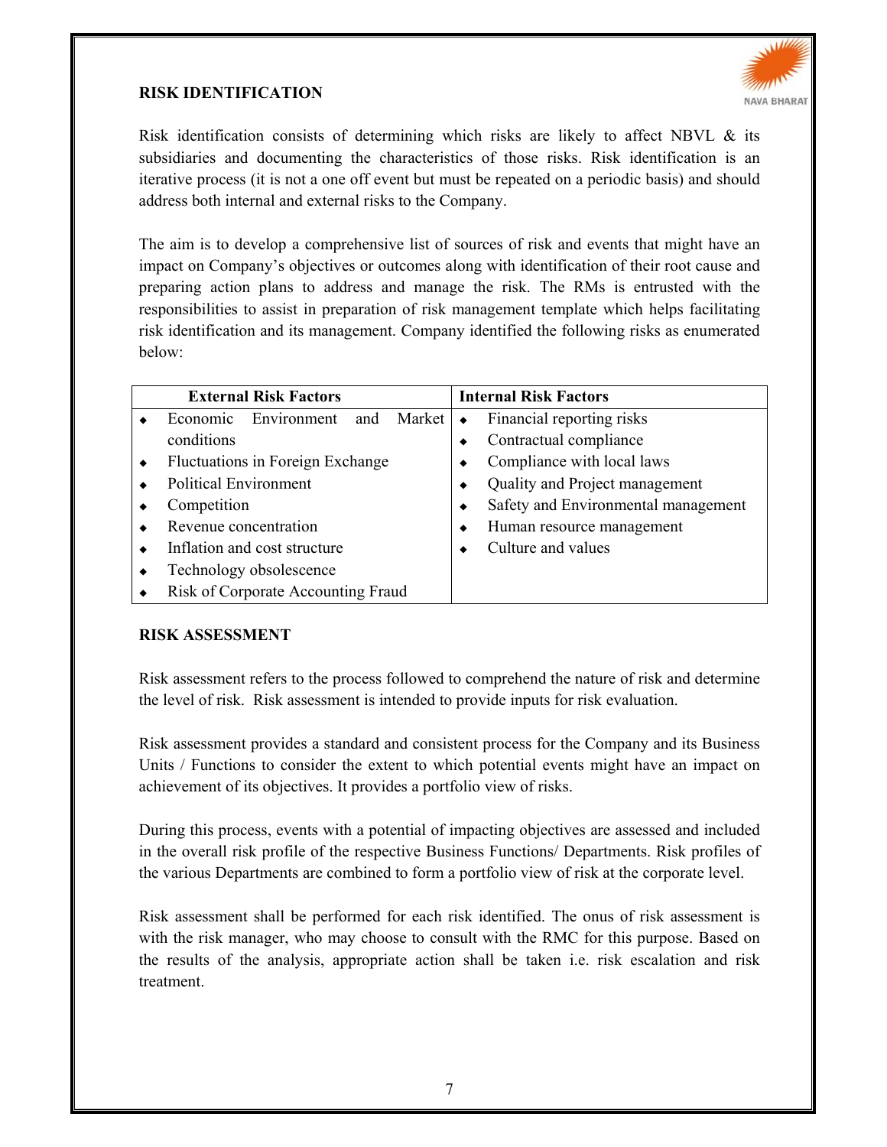## **RISK IDENTIFICATION**



Risk identification consists of determining which risks are likely to affect NBVL  $\&$  its subsidiaries and documenting the characteristics of those risks. Risk identification is an iterative process (it is not a one off event but must be repeated on a periodic basis) and should address both internal and external risks to the Company.

The aim is to develop a comprehensive list of sources of risk and events that might have an impact on Company's objectives or outcomes along with identification of their root cause and preparing action plans to address and manage the risk. The RMs is entrusted with the responsibilities to assist in preparation of risk management template which helps facilitating risk identification and its management. Company identified the following risks as enumerated below:

| <b>External Risk Factors</b>               | <b>Internal Risk Factors</b>        |
|--------------------------------------------|-------------------------------------|
| Economic<br>Environment<br>Market  <br>and | Financial reporting risks<br>٠      |
| conditions                                 | Contractual compliance              |
| Fluctuations in Foreign Exchange           | Compliance with local laws          |
| <b>Political Environment</b>               | Quality and Project management      |
| Competition                                | Safety and Environmental management |
| Revenue concentration                      | Human resource management           |
| Inflation and cost structure               | Culture and values                  |
| Technology obsolescence                    |                                     |
| Risk of Corporate Accounting Fraud         |                                     |

#### **RISK ASSESSMENT**

Risk assessment refers to the process followed to comprehend the nature of risk and determine the level of risk. Risk assessment is intended to provide inputs for risk evaluation.

Risk assessment provides a standard and consistent process for the Company and its Business Units / Functions to consider the extent to which potential events might have an impact on achievement of its objectives. It provides a portfolio view of risks.

During this process, events with a potential of impacting objectives are assessed and included in the overall risk profile of the respective Business Functions/ Departments. Risk profiles of the various Departments are combined to form a portfolio view of risk at the corporate level.

Risk assessment shall be performed for each risk identified. The onus of risk assessment is with the risk manager, who may choose to consult with the RMC for this purpose. Based on the results of the analysis, appropriate action shall be taken i.e. risk escalation and risk treatment.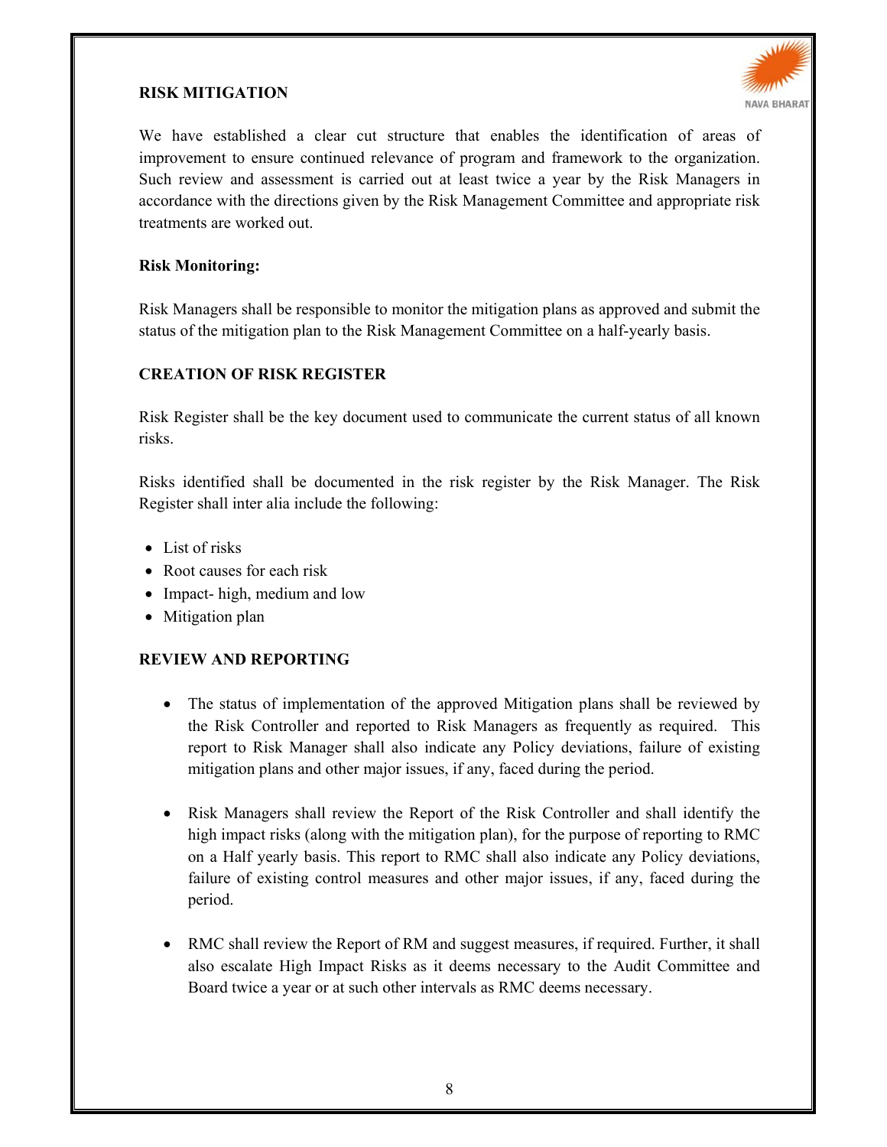### **RISK MITIGATION**



We have established a clear cut structure that enables the identification of areas of improvement to ensure continued relevance of program and framework to the organization. Such review and assessment is carried out at least twice a year by the Risk Managers in accordance with the directions given by the Risk Management Committee and appropriate risk treatments are worked out.

#### **Risk Monitoring:**

Risk Managers shall be responsible to monitor the mitigation plans as approved and submit the status of the mitigation plan to the Risk Management Committee on a half-yearly basis.

#### **CREATION OF RISK REGISTER**

Risk Register shall be the key document used to communicate the current status of all known risks.

Risks identified shall be documented in the risk register by the Risk Manager. The Risk Register shall inter alia include the following:

- List of risks
- Root causes for each risk
- Impact- high, medium and low
- Mitigation plan

#### **REVIEW AND REPORTING**

- The status of implementation of the approved Mitigation plans shall be reviewed by the Risk Controller and reported to Risk Managers as frequently as required. This report to Risk Manager shall also indicate any Policy deviations, failure of existing mitigation plans and other major issues, if any, faced during the period.
- Risk Managers shall review the Report of the Risk Controller and shall identify the high impact risks (along with the mitigation plan), for the purpose of reporting to RMC on a Half yearly basis. This report to RMC shall also indicate any Policy deviations, failure of existing control measures and other major issues, if any, faced during the period.
- RMC shall review the Report of RM and suggest measures, if required. Further, it shall also escalate High Impact Risks as it deems necessary to the Audit Committee and Board twice a year or at such other intervals as RMC deems necessary.